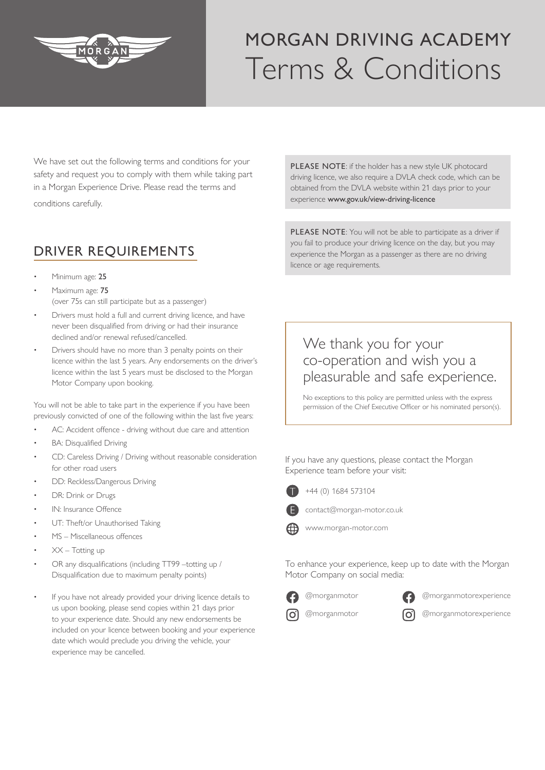

## MORGAN DRIVING ACADEMY Terms & Conditions

We have set out the following terms and conditions for your safety and request you to comply with them while taking part in a Morgan Experience Drive. Please read the terms and conditions carefully.

## DRIVER REQUIREMENTS

- Minimum age: 25
- Maximum age: 75 (over 75s can still participate but as a passenger)
- Drivers must hold a full and current driving licence, and have never been disqualified from driving or had their insurance declined and/or renewal refused/cancelled.
- Drivers should have no more than 3 penalty points on their licence within the last 5 years. Any endorsements on the driver's licence within the last 5 years must be disclosed to the Morgan Motor Company upon booking.

You will not be able to take part in the experience if you have been previously convicted of one of the following within the last five years:

- AC: Accident offence driving without due care and attention
- BA: Disqualified Driving
- CD: Careless Driving / Driving without reasonable consideration for other road users
- DD: Reckless/Dangerous Driving
- DR: Drink or Drugs
- IN: Insurance Offence
- UT: Theft/or Unauthorised Taking
- MS Miscellaneous offences
- $XX Totting up$
- OR any disqualifications (including TT99 –totting up / Disqualification due to maximum penalty points)
- If you have not already provided your driving licence details to us upon booking, please send copies within 21 days prior to your experience date. Should any new endorsements be included on your licence between booking and your experience date which would preclude you driving the vehicle, your experience may be cancelled.

PLEASE NOTE: if the holder has a new style UK photocard driving licence, we also require a DVLA check code, which can be obtained from the DVLA website within 21 days prior to your experience www.gov.uk/view-driving-licence

PLEASE NOTE: You will not be able to participate as a driver if you fail to produce your driving licence on the day, but you may experience the Morgan as a passenger as there are no driving licence or age requirements.

## We thank you for your co-operation and wish you a pleasurable and safe experience.

No exceptions to this policy are permitted unless with the express permission of the Chief Executive Officer or his nominated person(s).

If you have any questions, please contact the Morgan Experience team before your visit:



+44 (0) 1684 573104



contact@morgan-motor.co.uk



www.morgan-motor.com

To enhance your experience, keep up to date with the Morgan Motor Company on social media:





@morganmotorexperience

രി @morganmotor



@morganmotorexperience